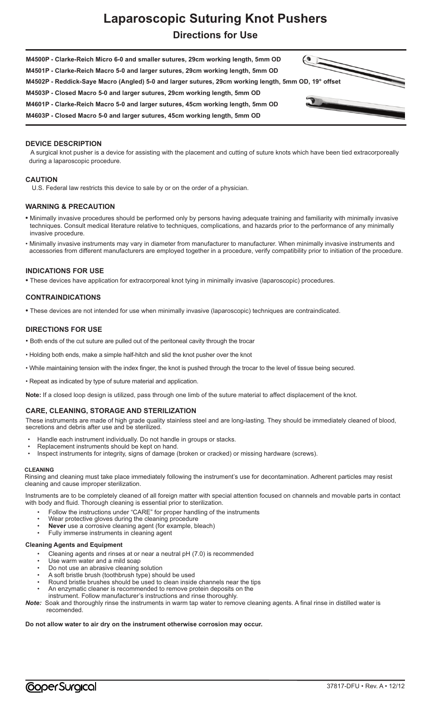# **Laparoscopic Suturing Knot Pushers Directions for Use**



# **DEVICE DESCRIPTION**

A surgical knot pusher is a device for assisting with the placement and cutting of suture knots which have been tied extracorporeally during a laparoscopic procedure.

### **CAUTION**

U.S. Federal law restricts this device to sale by or on the order of a physician.

### **WARNING & PRECAUTION**

- Minimally invasive procedures should be performed only by persons having adequate training and familiarity with minimally invasive techniques. Consult medical literature relative to techniques, complications, and hazards prior to the performance of any minimally invasive procedure.
- Minimally invasive instruments may vary in diameter from manufacturer to manufacturer. When minimally invasive instruments and accessories from different manufacturers are employed together in a procedure, verify compatibility prior to initiation of the procedure.

### **INDICATIONS FOR USE**

**•** These devices have application for extracorporeal knot tying in minimally invasive (laparoscopic) procedures.

### **CONTRAINDICATIONS**

**•** These devices are not intended for use when minimally invasive (laparoscopic) techniques are contraindicated.

### **DIRECTIONS FOR USE**

- Both ends of the cut suture are pulled out of the peritoneal cavity through the trocar
- Holding both ends, make a simple half-hitch and slid the knot pusher over the knot
- While maintaining tension with the index finger, the knot is pushed through the trocar to the level of tissue being secured.
- Repeat as indicated by type of suture material and application.

**Note:** If a closed loop design is utilized, pass through one limb of the suture material to affect displacement of the knot.

## **CARE, CLEANING, STORAGE AND STERILIZATION**

These instruments are made of high grade quality stainless steel and are long-lasting. They should be immediately cleaned of blood, secretions and debris after use and be sterilized.

- Handle each instrument individually. Do not handle in groups or stacks.
- Replacement instruments should be kept on hand.
- Inspect instruments for integrity, signs of damage (broken or cracked) or missing hardware (screws).

#### **CLEANING**

Rinsing and cleaning must take place immediately following the instrument's use for decontamination. Adherent particles may resist cleaning and cause improper sterilization.

Instruments are to be completely cleaned of all foreign matter with special attention focused on channels and movable parts in contact with body and fluid. Thorough cleaning is essential prior to sterilization.

- Follow the instructions under "CARE" for proper handling of the instruments
- Wear protective gloves during the cleaning procedure
- **Never** use a corrosive cleaning agent (for example, bleach)
- Fully immerse instruments in cleaning agent

# **Cleaning Agents and Equipment**

- Cleaning agents and rinses at or near a neutral pH (7.0) is recommended
- Use warm water and a mild soap
- Do not use an abrasive cleaning solution
- A soft bristle brush (toothbrush type) should be used
- Round bristle brushes should be used to clean inside channels near the tips
- An enzymatic cleaner is recommended to remove protein deposits on the instrument. Follow manufacturer's instructions and rinse thoroughly.
- *Note:* Soak and thoroughly rinse the instruments in warm tap water to remove cleaning agents. A final rinse in distilled water is recomended.

# **Do not allow water to air dry on the instrument otherwise corrosion may occur.**